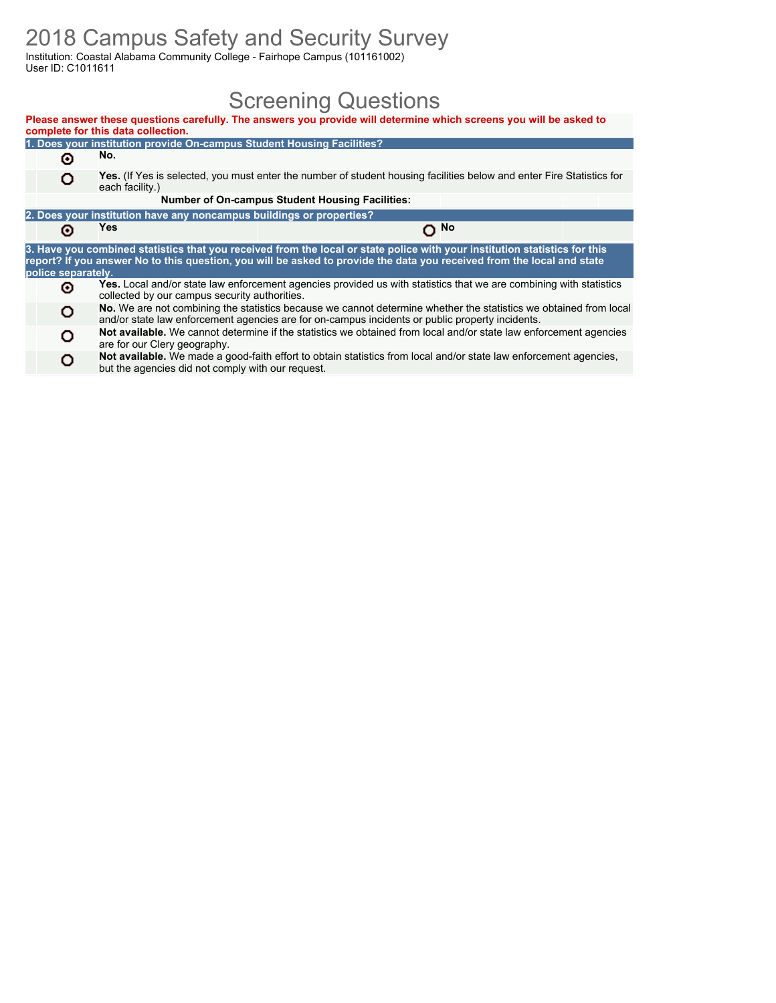### 2018 Campus Safety and Security Survey

Institution: Coastal Alabama Community College - Fairhope Campus (101161002) User ID: C1011611

### Screening Questions

| Please answer these questions carefully. The answers you provide will determine which screens you will be asked to<br>complete for this data collection. |                                                                      |                                                                                                                                                                                                                                                      |      |  |  |  |  |  |
|----------------------------------------------------------------------------------------------------------------------------------------------------------|----------------------------------------------------------------------|------------------------------------------------------------------------------------------------------------------------------------------------------------------------------------------------------------------------------------------------------|------|--|--|--|--|--|
| 1. Does your institution provide On-campus Student Housing Facilities?                                                                                   |                                                                      |                                                                                                                                                                                                                                                      |      |  |  |  |  |  |
| No.<br>Θ                                                                                                                                                 |                                                                      |                                                                                                                                                                                                                                                      |      |  |  |  |  |  |
| Yes. (If Yes is selected, you must enter the number of student housing facilities below and enter Fire Statistics for<br>o<br>each facility.)            |                                                                      |                                                                                                                                                                                                                                                      |      |  |  |  |  |  |
|                                                                                                                                                          |                                                                      | <b>Number of On-campus Student Housing Facilities:</b>                                                                                                                                                                                               |      |  |  |  |  |  |
|                                                                                                                                                          | 2. Does your institution have any noncampus buildings or properties? |                                                                                                                                                                                                                                                      |      |  |  |  |  |  |
| Θ                                                                                                                                                        | Yes                                                                  |                                                                                                                                                                                                                                                      | O No |  |  |  |  |  |
| police separately.                                                                                                                                       |                                                                      | 3. Have you combined statistics that you received from the local or state police with your institution statistics for this<br>report? If you answer No to this question, you will be asked to provide the data you received from the local and state |      |  |  |  |  |  |
| ⊙                                                                                                                                                        | collected by our campus security authorities.                        | Yes. Local and/or state law enforcement agencies provided us with statistics that we are combining with statistics                                                                                                                                   |      |  |  |  |  |  |
| o                                                                                                                                                        |                                                                      | No. We are not combining the statistics because we cannot determine whether the statistics we obtained from local<br>and/or state law enforcement agencies are for on-campus incidents or public property incidents.                                 |      |  |  |  |  |  |
| o                                                                                                                                                        | are for our Clery geography.                                         | Not available. We cannot determine if the statistics we obtained from local and/or state law enforcement agencies                                                                                                                                    |      |  |  |  |  |  |
| O                                                                                                                                                        | but the agencies did not comply with our request.                    | Not available. We made a good-faith effort to obtain statistics from local and/or state law enforcement agencies,                                                                                                                                    |      |  |  |  |  |  |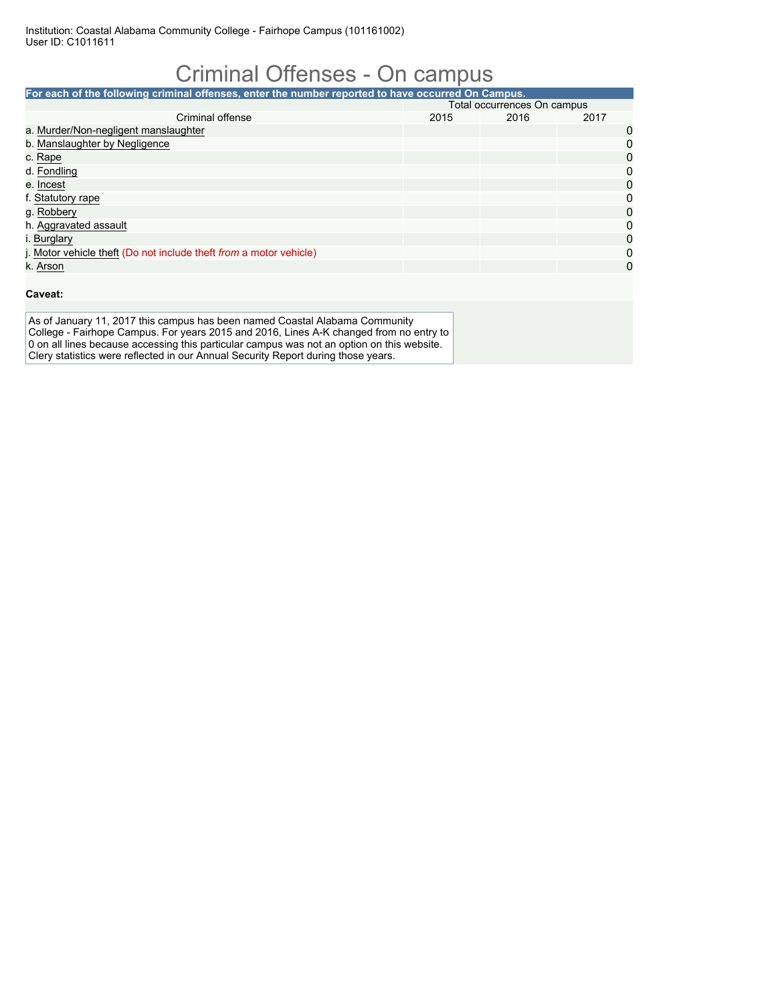## Criminal Offenses - On campus

| For each of the following criminal offenses, enter the number reported to have occurred On Campus. |                             |      |      |          |  |  |
|----------------------------------------------------------------------------------------------------|-----------------------------|------|------|----------|--|--|
|                                                                                                    | Total occurrences On campus |      |      |          |  |  |
| Criminal offense                                                                                   | 2015                        | 2016 | 2017 |          |  |  |
| a. Murder/Non-negligent manslaughter                                                               |                             |      |      | 0        |  |  |
| b. Manslaughter by Negligence                                                                      |                             |      |      | 0        |  |  |
| c. Rape                                                                                            |                             |      |      | 0        |  |  |
| d. Fondling                                                                                        |                             |      |      | 0        |  |  |
| e. Incest                                                                                          |                             |      |      | $\Omega$ |  |  |
| f. Statutory rape                                                                                  |                             |      |      | 0        |  |  |
| g. Robbery                                                                                         |                             |      |      | 0        |  |  |
| h. Aggravated assault                                                                              |                             |      |      | 0        |  |  |
| i. Burglary                                                                                        |                             |      |      | 0        |  |  |
| j. Motor vehicle theft (Do not include theft from a motor vehicle)                                 |                             |      |      | 0        |  |  |
| k. Arson                                                                                           |                             |      |      | 0        |  |  |

#### **Caveat:**

As of January 11, 2017 this campus has been named Coastal Alabama Community College - Fairhope Campus. For years 2015 and 2016, Lines A-K changed from no entry to 0 on all lines because accessing this particular campus was not an option on this website. Clery statistics were reflected in our Annual Security Report during those years.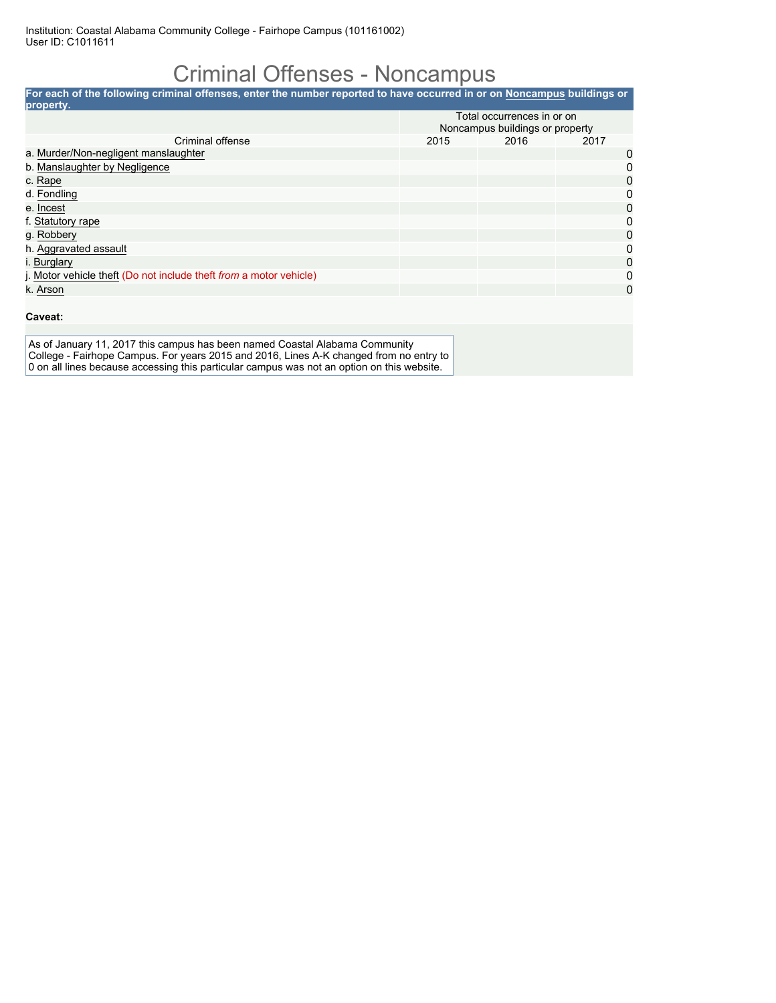### Criminal Offenses - Noncampus

| For each of the following criminal offenses, enter the number reported to have occurred in or on Noncampus buildings or |      |                                 |              |
|-------------------------------------------------------------------------------------------------------------------------|------|---------------------------------|--------------|
| property.                                                                                                               |      |                                 |              |
|                                                                                                                         |      | Total occurrences in or on      |              |
|                                                                                                                         |      | Noncampus buildings or property |              |
| Criminal offense                                                                                                        | 2015 | 2016                            | 2017         |
| a. Murder/Non-negligent manslaughter                                                                                    |      |                                 | 0            |
| b. Manslaughter by Negligence                                                                                           |      |                                 | $\mathbf{0}$ |
| c. Rape                                                                                                                 |      |                                 | 0            |
| d. Fondling                                                                                                             |      |                                 | 0            |
| e. Incest                                                                                                               |      |                                 | 0            |
| f. Statutory rape                                                                                                       |      |                                 | $\mathbf{0}$ |
| g. Robbery                                                                                                              |      |                                 | $\mathbf{0}$ |
| h. Aggravated assault                                                                                                   |      |                                 | $\Omega$     |
| i. Burglary                                                                                                             |      |                                 | $\mathbf{0}$ |
| j. Motor vehicle theft (Do not include theft from a motor vehicle)                                                      |      |                                 | 0            |
| k. Arson                                                                                                                |      |                                 | 0            |

#### **Caveat:**

As of January 11, 2017 this campus has been named Coastal Alabama Community College - Fairhope Campus. For years 2015 and 2016, Lines A-K changed from no entry to 0 on all lines because accessing this particular campus was not an option on this website.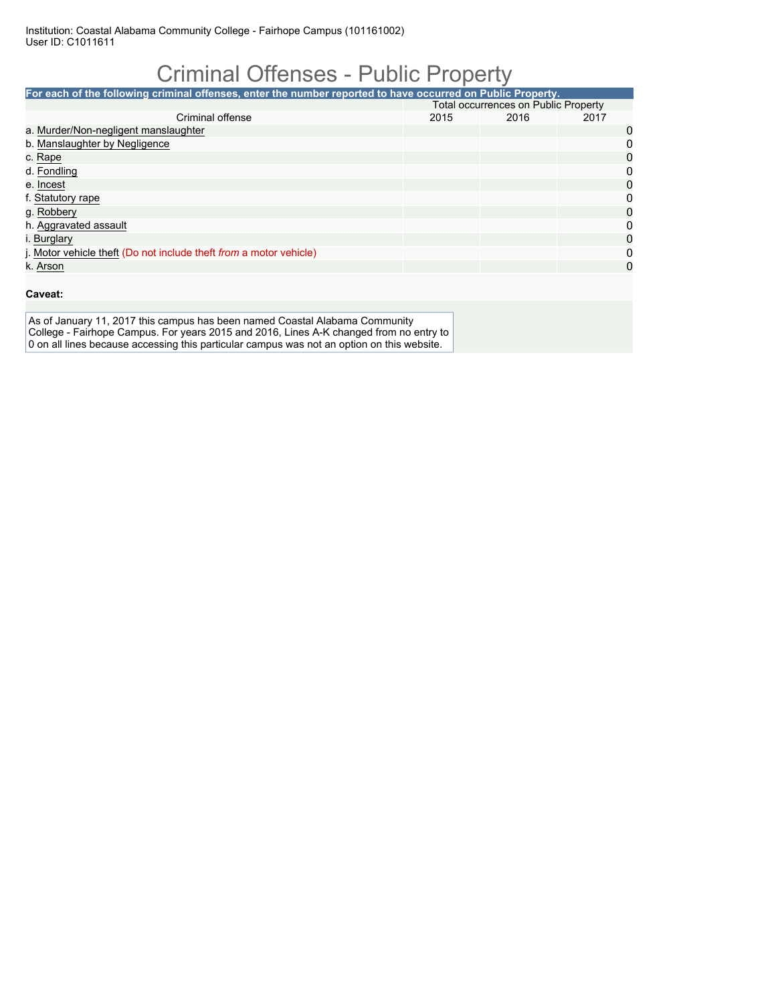## Criminal Offenses - Public Property

| For each of the following criminal offenses, enter the number reported to have occurred on Public Property. |                                      |      |      |          |  |  |
|-------------------------------------------------------------------------------------------------------------|--------------------------------------|------|------|----------|--|--|
|                                                                                                             | Total occurrences on Public Property |      |      |          |  |  |
| Criminal offense                                                                                            | 2015                                 | 2016 | 2017 |          |  |  |
| a. Murder/Non-negligent manslaughter                                                                        |                                      |      |      | 0        |  |  |
| b. Manslaughter by Negligence                                                                               |                                      |      |      | 0        |  |  |
| c. Rape                                                                                                     |                                      |      |      | 0        |  |  |
| d. Fondling                                                                                                 |                                      |      |      | 0        |  |  |
| e. Incest                                                                                                   |                                      |      |      | 0        |  |  |
| f. Statutory rape                                                                                           |                                      |      |      | 0        |  |  |
| g. Robbery                                                                                                  |                                      |      |      | 0        |  |  |
| h. Aggravated assault                                                                                       |                                      |      |      | 0        |  |  |
| i. Burglary                                                                                                 |                                      |      |      | 0        |  |  |
| j. Motor vehicle theft (Do not include theft from a motor vehicle)                                          |                                      |      |      | 0        |  |  |
| k. Arson                                                                                                    |                                      |      |      | $\Omega$ |  |  |

#### **Caveat:**

As of January 11, 2017 this campus has been named Coastal Alabama Community College - Fairhope Campus. For years 2015 and 2016, Lines A-K changed from no entry to 0 on all lines because accessing this particular campus was not an option on this website.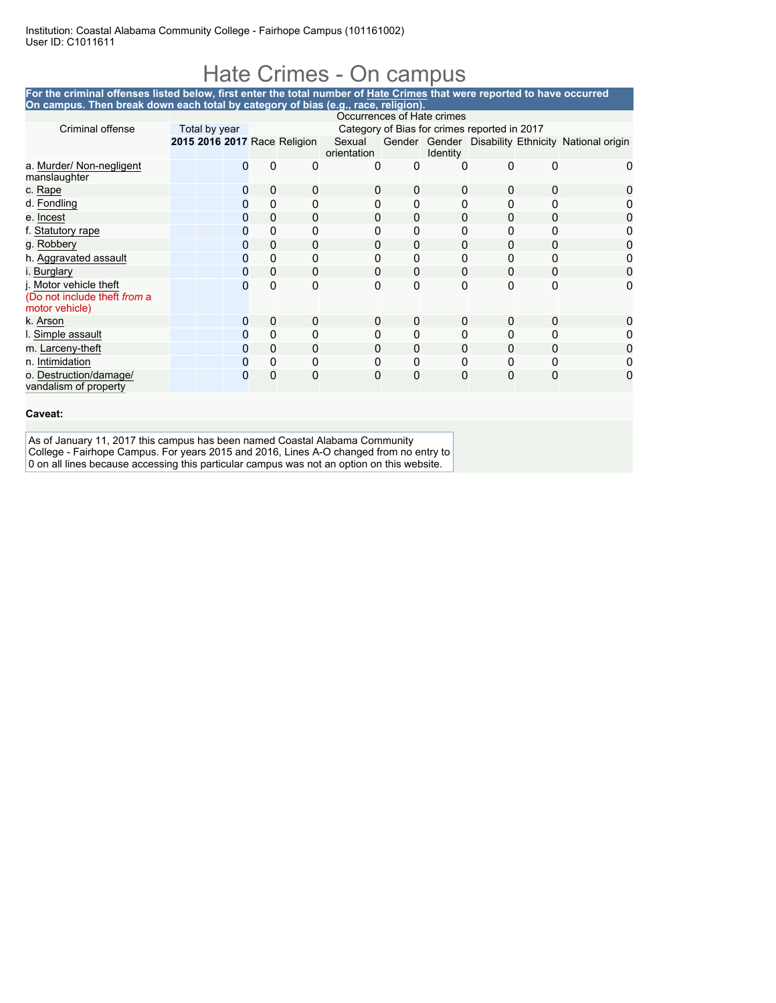### Hate Crimes - On campus

#### **For the criminal offenses listed below, first enter the total number of Hate Crimes that were reported to have occurred On campus. Then break down each total by category of bias (e.g., race, religion).**

|                                                                          | Occurrences of Hate crimes |              |          |                              |                       |          |                 |                                              |          |                                                    |
|--------------------------------------------------------------------------|----------------------------|--------------|----------|------------------------------|-----------------------|----------|-----------------|----------------------------------------------|----------|----------------------------------------------------|
| Criminal offense                                                         | Total by year              |              |          |                              |                       |          |                 | Category of Bias for crimes reported in 2017 |          |                                                    |
|                                                                          |                            |              |          | 2015 2016 2017 Race Religion | Sexual<br>orientation |          | <b>Identity</b> |                                              |          | Gender Gender Disability Ethnicity National origin |
| a. Murder/ Non-negligent<br>manslaughter                                 |                            | $\mathbf{I}$ | 0        | 0                            | 0                     | 0        | 0               | 0                                            | $\Omega$ | $\mathbf{0}$                                       |
| c. Rape                                                                  |                            | $\Omega$     | 0        | 0                            | 0                     | 0        | 0               | 0                                            | 0        |                                                    |
| d. Fondling                                                              |                            | 0            | 0        | 0                            | 0                     | 0        | 0               | 0                                            | 0        |                                                    |
| e. Incest                                                                |                            | 0            | 0        | 0                            | 0                     | 0        | $\Omega$        | 0                                            | 0        |                                                    |
| f. Statutory rape                                                        |                            | 0            | 0        | 0                            | 0                     | 0        | 0               | 0                                            | 0        |                                                    |
| g. Robbery                                                               |                            | 0            | $\Omega$ | $\Omega$                     | 0                     | $\Omega$ | $\Omega$        | $\Omega$                                     | 0        |                                                    |
| h. Aggravated assault                                                    |                            |              | 0        | 0                            |                       | 0        | 0               | 0                                            | 0        |                                                    |
| i. Burglary                                                              |                            | 0            | 0        | 0                            | 0                     | 0        | 0               | 0                                            | $\Omega$ |                                                    |
| j. Motor vehicle theft<br>(Do not include theft from a<br>motor vehicle) |                            | 0            | 0        | 0                            | 0                     | 0        | 0               | 0                                            | 0        | 0                                                  |
| k. Arson                                                                 |                            | 0            | 0        | $\Omega$                     | $\Omega$              | $\Omega$ | 0               | 0                                            | 0        |                                                    |
| I. Simple assault                                                        |                            |              | 0        | 0                            | 0                     | 0        | 0               | 0                                            |          |                                                    |
| m. Larceny-theft                                                         |                            | 0            | $\Omega$ | 0                            | 0                     | $\Omega$ | 0               | 0                                            | 0        |                                                    |
| n. Intimidation                                                          |                            | 0            | 0        | 0                            | 0                     | 0        | 0               | 0                                            | 0        |                                                    |
| o. Destruction/damage/<br>vandalism of property                          |                            | 0            | 0        | 0                            | 0                     | 0        | 0               | $\mathbf{0}$                                 | $\Omega$ |                                                    |

#### **Caveat:**

As of January 11, 2017 this campus has been named Coastal Alabama Community College - Fairhope Campus. For years 2015 and 2016, Lines A-O changed from no entry to 0 on all lines because accessing this particular campus was not an option on this website.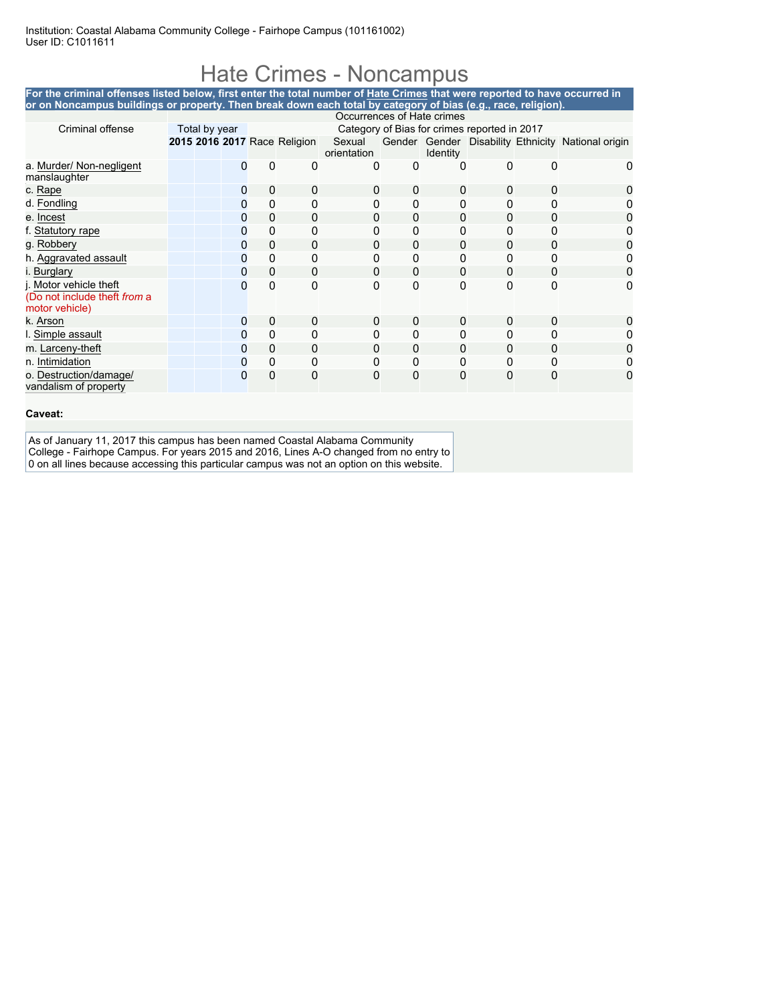### Hate Crimes - Noncampus

| For the criminal offenses listed below, first enter the total number of Hate Crimes that were reported to have occurred in<br>or on Noncampus buildings or property. Then break down each total by category of bias (e.g., race, religion). |                            |               |   |                                              |                              |                       |   |                 |   |   |                                                    |
|---------------------------------------------------------------------------------------------------------------------------------------------------------------------------------------------------------------------------------------------|----------------------------|---------------|---|----------------------------------------------|------------------------------|-----------------------|---|-----------------|---|---|----------------------------------------------------|
|                                                                                                                                                                                                                                             | Occurrences of Hate crimes |               |   |                                              |                              |                       |   |                 |   |   |                                                    |
| Criminal offense                                                                                                                                                                                                                            |                            | Total by year |   | Category of Bias for crimes reported in 2017 |                              |                       |   |                 |   |   |                                                    |
|                                                                                                                                                                                                                                             |                            |               |   |                                              | 2015 2016 2017 Race Religion | Sexual<br>orientation |   | <b>Identity</b> |   |   | Gender Gender Disability Ethnicity National origin |
| a. Murder/ Non-negligent<br>manslaughter                                                                                                                                                                                                    |                            |               |   | 0                                            | 0                            | 0                     | 0 | 0               | 0 | 0 | 0                                                  |
| c. Rape                                                                                                                                                                                                                                     |                            |               | 0 | $\mathbf 0$                                  | 0                            | 0                     | 0 | 0               | O | 0 |                                                    |
| d. Fondling                                                                                                                                                                                                                                 |                            |               |   | 0                                            |                              |                       | 0 | ŋ               |   |   |                                                    |
| e. Incest                                                                                                                                                                                                                                   |                            |               | 0 | 0                                            | 0                            | 0                     | 0 | $\Omega$        | 0 | 0 |                                                    |
| f. Statutory rape                                                                                                                                                                                                                           |                            |               | 0 | 0                                            |                              |                       | 0 | 0               |   |   |                                                    |
| g. Robbery                                                                                                                                                                                                                                  |                            |               | O | 0                                            | 0                            | 0                     | 0 | 0               | 0 |   |                                                    |
| h. Aggravated assault                                                                                                                                                                                                                       |                            |               | 0 | 0                                            | 0                            |                       | 0 | 0               |   |   |                                                    |
| i. Burglary                                                                                                                                                                                                                                 |                            |               |   | 0                                            | 0                            | 0                     | 0 | 0               | 0 | 0 |                                                    |
| j. Motor vehicle theft<br>(Do not include theft from a<br>motor vehicle)                                                                                                                                                                    |                            |               |   | $\mathbf{0}$                                 | O                            | 0                     | 0 | O               | O | U |                                                    |
| k. Arson                                                                                                                                                                                                                                    |                            |               | 0 | $\mathbf 0$                                  | 0                            | 0                     | 0 | 0               | 0 | 0 |                                                    |
| I. Simple assault                                                                                                                                                                                                                           |                            |               |   | 0                                            |                              |                       | 0 | 0               |   |   |                                                    |
| m. Larceny-theft                                                                                                                                                                                                                            |                            |               | 0 | $\mathbf 0$                                  | 0                            | 0                     | 0 | 0               | o | 0 |                                                    |
| n. Intimidation                                                                                                                                                                                                                             |                            |               |   | 0                                            |                              |                       | 0 |                 |   |   |                                                    |
| o. Destruction/damage/<br>vandalism of property                                                                                                                                                                                             |                            |               |   | 0                                            |                              | 0                     | 0 |                 |   |   |                                                    |

#### **Caveat:**

As of January 11, 2017 this campus has been named Coastal Alabama Community College - Fairhope Campus. For years 2015 and 2016, Lines A-O changed from no entry to 0 on all lines because accessing this particular campus was not an option on this website.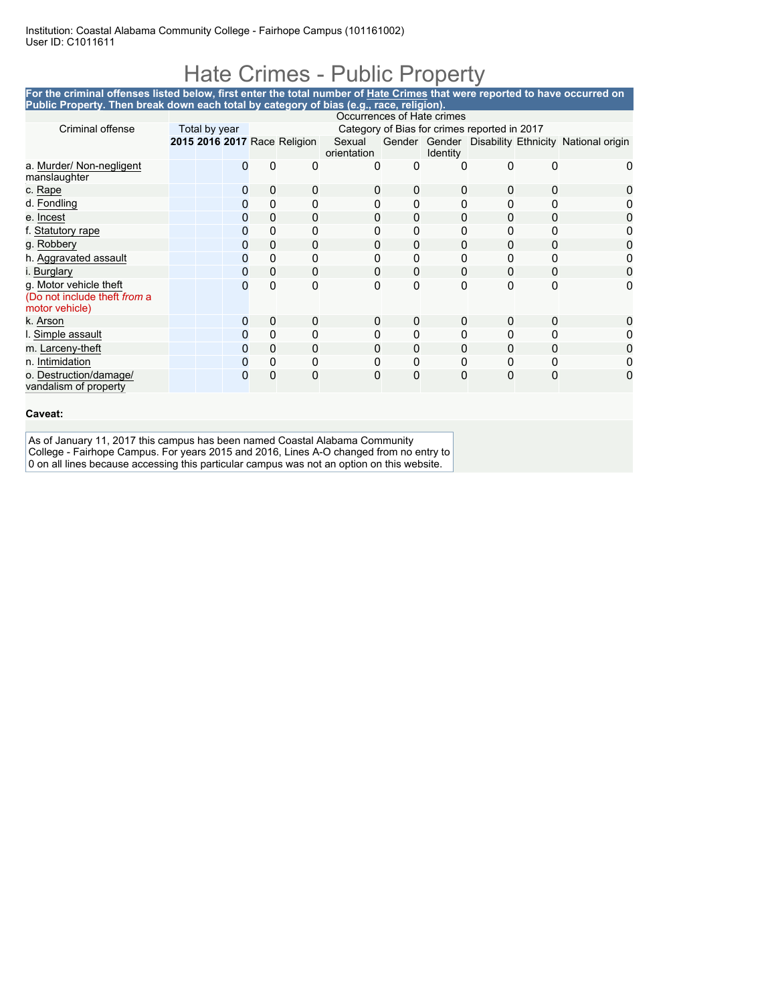### Hate Crimes - Public Property

**For the criminal offenses listed below, first enter the total number of Hate Crimes that were reported to have occurred on Public Property. Then break down each total by category of bias (e.g., race, religion).**

|                                                                          | Occurrences of Hate crimes |   |             |                              |                       |          |                 |                                              |          |                                                    |
|--------------------------------------------------------------------------|----------------------------|---|-------------|------------------------------|-----------------------|----------|-----------------|----------------------------------------------|----------|----------------------------------------------------|
| Criminal offense                                                         | Total by year              |   |             |                              |                       |          |                 | Category of Bias for crimes reported in 2017 |          |                                                    |
|                                                                          |                            |   |             | 2015 2016 2017 Race Religion | Sexual<br>orientation |          | <b>Identity</b> |                                              |          | Gender Gender Disability Ethnicity National origin |
| a. Murder/ Non-negligent<br>manslaughter                                 |                            |   | $\Omega$    | 0                            | 0                     | 0        | 0               | 0                                            |          |                                                    |
| c. Rape                                                                  |                            | 0 | $\mathbf 0$ | 0                            | 0                     | 0        | $\mathbf{0}$    | 0                                            | 0        |                                                    |
| d. Fondling                                                              |                            | 0 | 0           | 0                            | 0                     | $\Omega$ | 0               | 0                                            | $\Omega$ |                                                    |
| e. Incest                                                                |                            | 0 | $\mathbf 0$ | 0                            | 0                     | 0        | 0               | 0                                            | 0        |                                                    |
| f. Statutory rape                                                        |                            | 0 | 0           | 0                            | 0                     | 0        | 0               | 0                                            | 0        |                                                    |
| g. Robbery                                                               |                            | 0 | $\mathbf 0$ | 0                            | 0                     | 0        | 0               | 0                                            | 0        |                                                    |
| h. Aggravated assault                                                    |                            | O | $\Omega$    | 0                            |                       | 0        | 0               |                                              |          |                                                    |
| i. Burglary                                                              |                            | 0 | $\mathbf 0$ | $\Omega$                     | 0                     | $\Omega$ | $\mathbf{0}$    | 0                                            | $\Omega$ | O                                                  |
| g. Motor vehicle theft<br>(Do not include theft from a<br>motor vehicle) |                            | 0 | 0           | 0                            | 0                     | $\Omega$ | 0               | 0                                            | $\Omega$ | 0                                                  |
| k. Arson                                                                 |                            | 0 | $\mathbf 0$ | 0                            | 0                     | 0        | 0               | $\Omega$                                     | $\Omega$ |                                                    |
| I. Simple assault                                                        |                            | 0 | 0           | 0                            | 0                     | 0        | 0               | 0                                            | O        |                                                    |
| m. Larceny-theft                                                         |                            | 0 | $\mathbf 0$ | 0                            | 0                     | 0        | 0               | 0                                            | 0        |                                                    |
| n. Intimidation                                                          |                            | 0 | 0           | 0                            | 0                     | 0        | 0               | 0                                            | 0        |                                                    |
| o. Destruction/damage/<br>vandalism of property                          |                            | 0 | 0           | 0                            | 0                     | 0        | 0               | 0                                            | 0        |                                                    |

#### **Caveat:**

As of January 11, 2017 this campus has been named Coastal Alabama Community College - Fairhope Campus. For years 2015 and 2016, Lines A-O changed from no entry to 0 on all lines because accessing this particular campus was not an option on this website.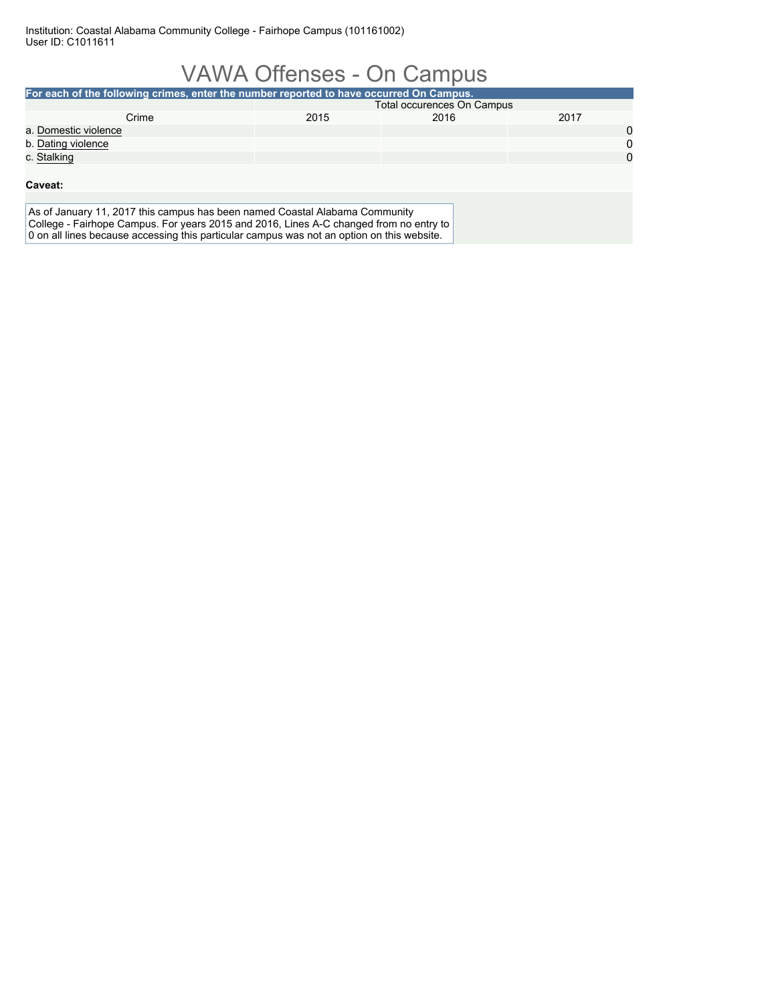| <b>VAWA Offenses - On Campus</b>                                                                                                                                                                                                                                    |             |                            |      |             |  |  |  |
|---------------------------------------------------------------------------------------------------------------------------------------------------------------------------------------------------------------------------------------------------------------------|-------------|----------------------------|------|-------------|--|--|--|
| For each of the following crimes, enter the number reported to have occurred On Campus.                                                                                                                                                                             |             |                            |      |             |  |  |  |
|                                                                                                                                                                                                                                                                     |             | Total occurences On Campus |      |             |  |  |  |
| Crime                                                                                                                                                                                                                                                               | 2015        | 2016                       | 2017 |             |  |  |  |
| a. Domestic violence                                                                                                                                                                                                                                                |             |                            |      | $\mathbf 0$ |  |  |  |
| b. Dating violence                                                                                                                                                                                                                                                  | $\mathbf 0$ |                            |      |             |  |  |  |
| c. Stalking                                                                                                                                                                                                                                                         |             |                            |      | $\Omega$    |  |  |  |
|                                                                                                                                                                                                                                                                     |             |                            |      |             |  |  |  |
| Caveat:                                                                                                                                                                                                                                                             |             |                            |      |             |  |  |  |
|                                                                                                                                                                                                                                                                     |             |                            |      |             |  |  |  |
| As of January 11, 2017 this campus has been named Coastal Alabama Community<br>College - Fairhope Campus. For years 2015 and 2016, Lines A-C changed from no entry to<br>0 on all lines because accessing this particular campus was not an option on this website. |             |                            |      |             |  |  |  |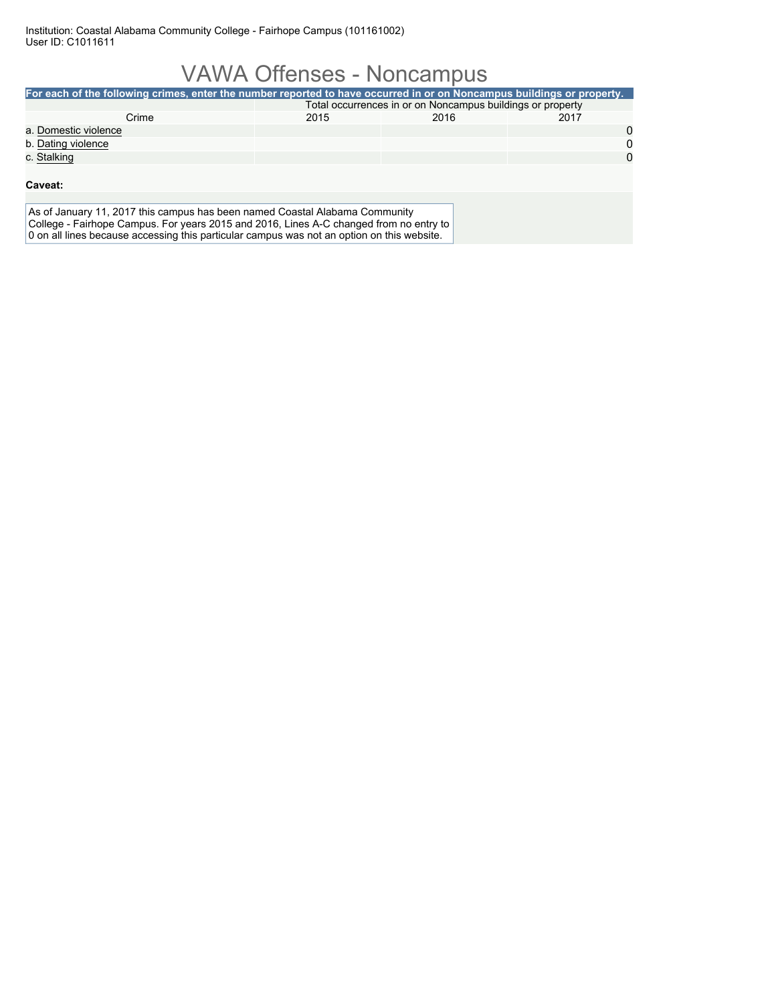### VAWA Offenses - Noncampus

| For each of the following crimes, enter the number reported to have occurred in or on Noncampus buildings or property. |                                                            |      |          |  |  |  |  |
|------------------------------------------------------------------------------------------------------------------------|------------------------------------------------------------|------|----------|--|--|--|--|
|                                                                                                                        | Total occurrences in or on Noncampus buildings or property |      |          |  |  |  |  |
| Crime                                                                                                                  | 2015                                                       | 2016 | 2017     |  |  |  |  |
| a. Domestic violence                                                                                                   |                                                            |      | 0        |  |  |  |  |
| b. Dating violence                                                                                                     |                                                            |      | 0        |  |  |  |  |
| c. Stalking                                                                                                            |                                                            |      | $\Omega$ |  |  |  |  |
|                                                                                                                        |                                                            |      |          |  |  |  |  |
| Caveat:                                                                                                                |                                                            |      |          |  |  |  |  |
|                                                                                                                        |                                                            |      |          |  |  |  |  |
| As of January 11, 2017 this campus has been named Coastal Alabama Community                                            |                                                            |      |          |  |  |  |  |
| College - Fairhope Campus. For years 2015 and 2016, Lines A-C changed from no entry to                                 |                                                            |      |          |  |  |  |  |
| 0 on all lines because accessing this particular campus was not an option on this website.                             |                                                            |      |          |  |  |  |  |
|                                                                                                                        |                                                            |      |          |  |  |  |  |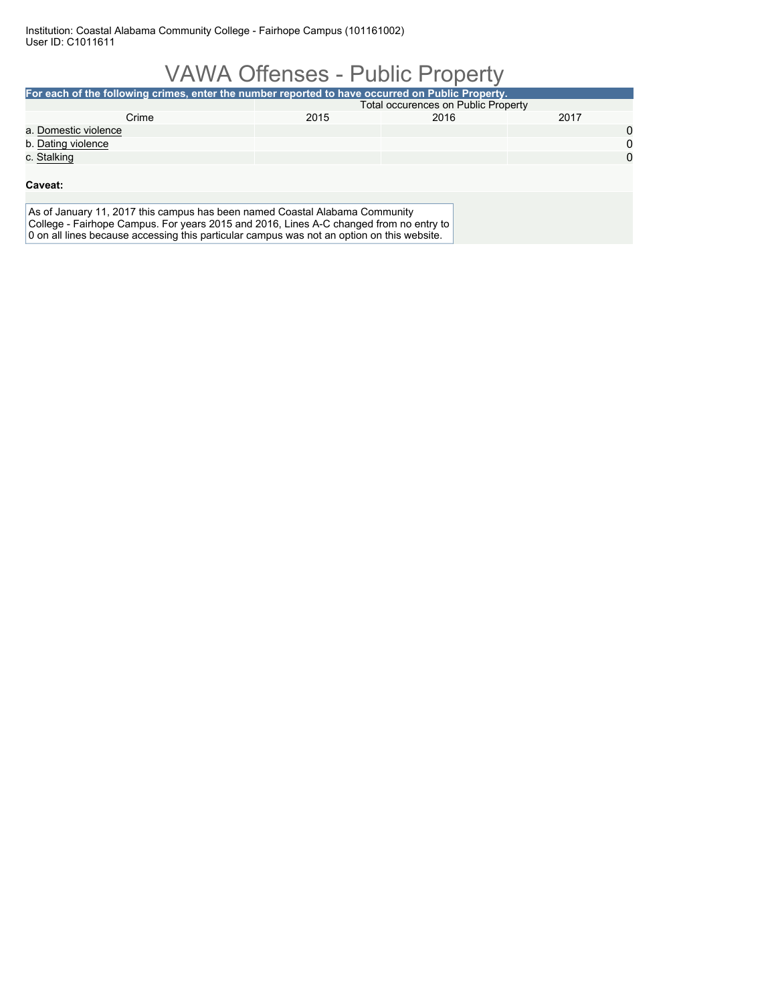### VAWA Offenses - Public Property **For each of the following crimes, enter the number reported to have occurred on Public Property.** Total occurences on Public Property Crime 2015 2016 2017 a. Domestic violence 0 b. Dating violence **0** 0 c. <u>Stalking</u> and the control of the control of the control of the control of the control of the control of the control of the control of the control of the control of the control of the control of the control of the contr **Caveat:** As of January 11, 2017 this campus has been named Coastal Alabama Community College - Fairhope Campus. For years 2015 and 2016, Lines A-C changed from no entry to 0 on all lines because accessing this particular campus was not an option on this website.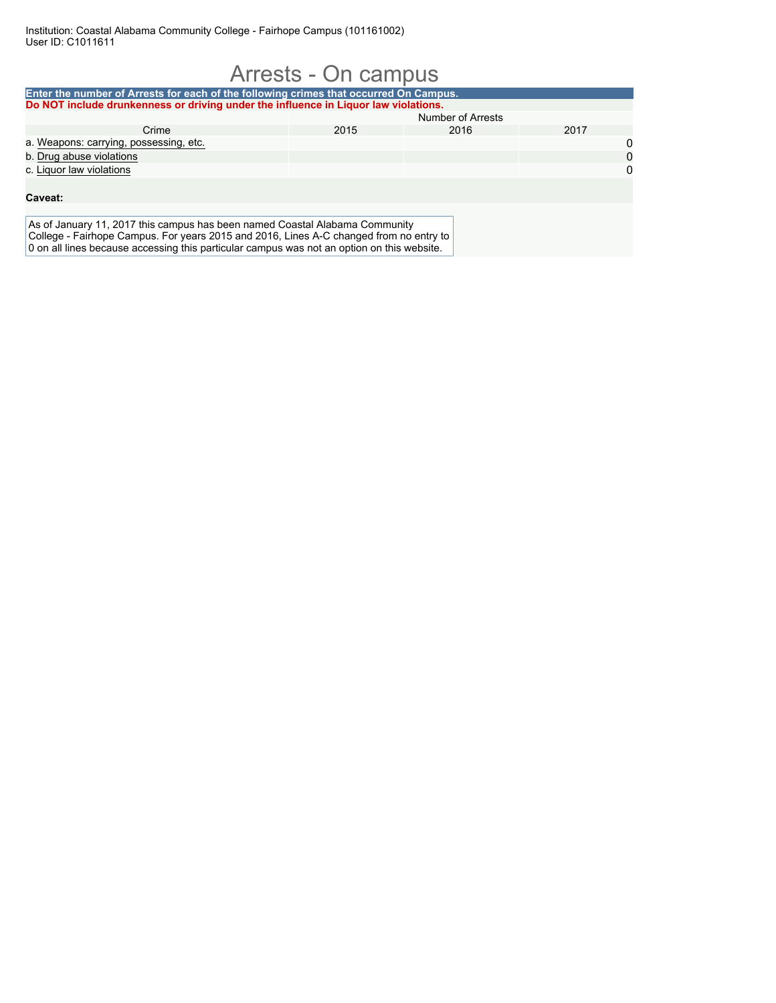| Arrests - On campus                                                                                                                                                                                                                                                 |      |                   |      |             |  |  |
|---------------------------------------------------------------------------------------------------------------------------------------------------------------------------------------------------------------------------------------------------------------------|------|-------------------|------|-------------|--|--|
| Enter the number of Arrests for each of the following crimes that occurred On Campus.                                                                                                                                                                               |      |                   |      |             |  |  |
| Do NOT include drunkenness or driving under the influence in Liguor law violations.                                                                                                                                                                                 |      |                   |      |             |  |  |
|                                                                                                                                                                                                                                                                     |      | Number of Arrests |      |             |  |  |
| Crime                                                                                                                                                                                                                                                               | 2015 | 2016              | 2017 |             |  |  |
| a. Weapons: carrying, possessing, etc.                                                                                                                                                                                                                              |      |                   |      | 0           |  |  |
| b. Drug abuse violations                                                                                                                                                                                                                                            |      |                   |      | $\mathbf 0$ |  |  |
| c. Liquor law violations                                                                                                                                                                                                                                            |      |                   |      | $\Omega$    |  |  |
| Caveat:                                                                                                                                                                                                                                                             |      |                   |      |             |  |  |
| As of January 11, 2017 this campus has been named Coastal Alabama Community<br>College - Fairhope Campus. For years 2015 and 2016, Lines A-C changed from no entry to<br>0 on all lines because accessing this particular campus was not an option on this website. |      |                   |      |             |  |  |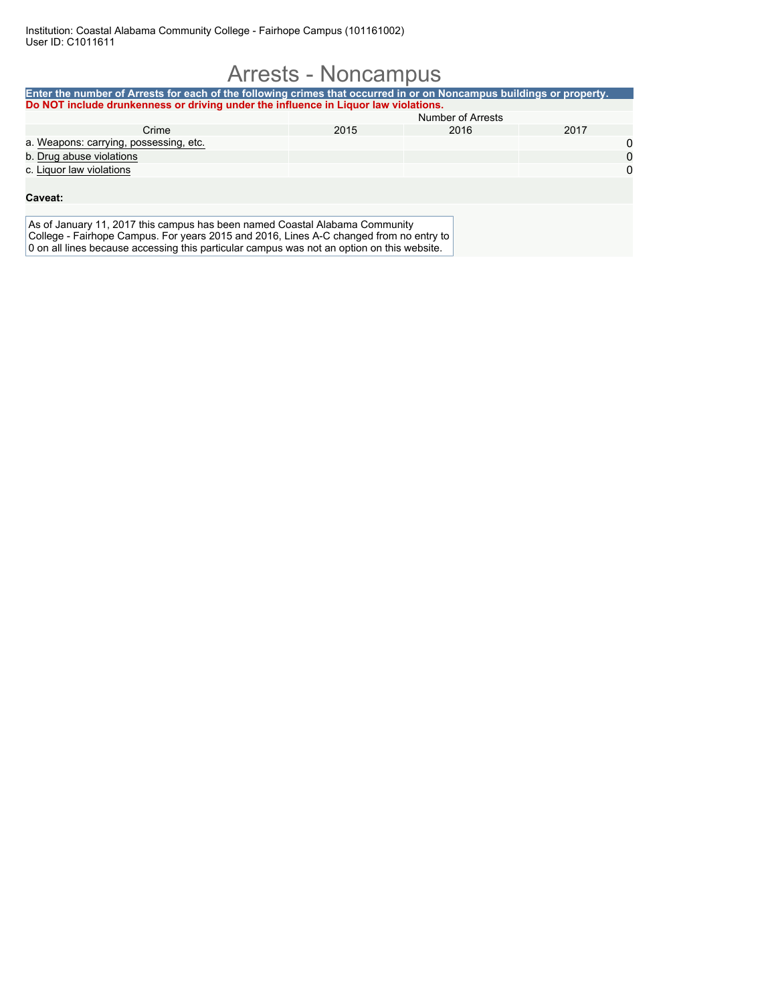### Arrests - Noncampus **Enter the number of Arrests for each of the following crimes that occurred in or on Noncampus buildings or property. Do NOT include drunkenness or driving under the influence in Liquor law violations.** Number of Arrests Crime 2015 2016 2017 a. <u>Weapons: carrying, possessing, etc.</u> 00 of the carrying of the carrying of the carrying of the carrying of the carrying of the carrying of the carrying of the carrying of the carrying of the carrying of the carrying of b. Drug abuse violations c. Liquor law violations 0 **Caveat:** As of January 11, 2017 this campus has been named Coastal Alabama Community College - Fairhope Campus. For years 2015 and 2016, Lines A-C changed from no entry to 0 on all lines because accessing this particular campus was not an option on this website.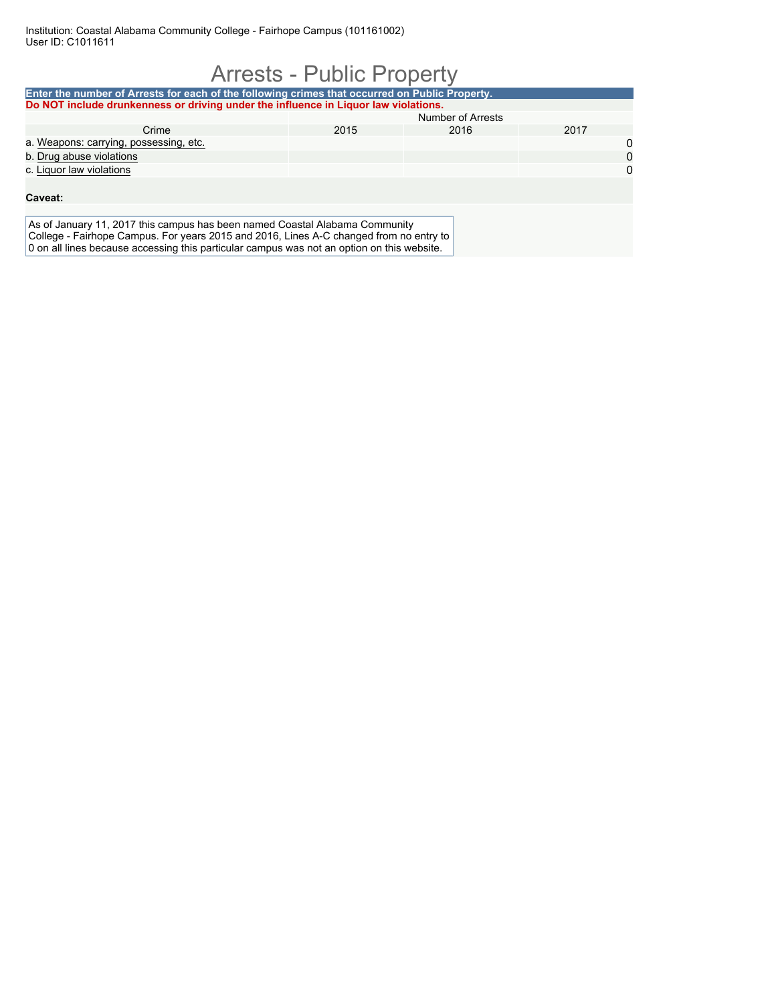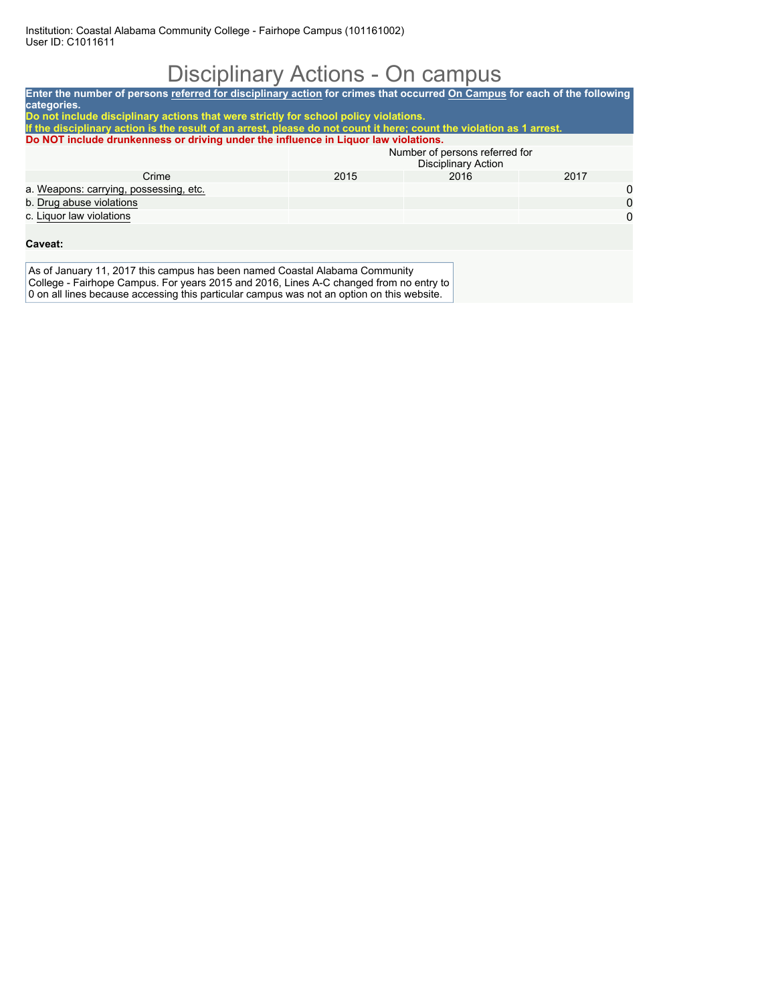## Disciplinary Actions - On campus

| Enter the number of persons referred for disciplinary action for crimes that occurred On Campus for each of the following<br>categories.                                                                     |      |                                                              |          |  |  |  |  |
|--------------------------------------------------------------------------------------------------------------------------------------------------------------------------------------------------------------|------|--------------------------------------------------------------|----------|--|--|--|--|
| Do not include disciplinary actions that were strictly for school policy violations.<br>If the disciplinary action is the result of an arrest, please do not count it here; count the violation as 1 arrest. |      |                                                              |          |  |  |  |  |
| Do NOT include drunkenness or driving under the influence in Liquor law violations.                                                                                                                          |      |                                                              |          |  |  |  |  |
|                                                                                                                                                                                                              |      | Number of persons referred for<br><b>Disciplinary Action</b> |          |  |  |  |  |
| Crime                                                                                                                                                                                                        | 2015 | 2016                                                         | 2017     |  |  |  |  |
| a. Weapons: carrying, possessing, etc.                                                                                                                                                                       |      |                                                              | 0        |  |  |  |  |
| b. Drug abuse violations                                                                                                                                                                                     |      |                                                              | $\Omega$ |  |  |  |  |
| c. Liquor law violations                                                                                                                                                                                     |      |                                                              | $\Omega$ |  |  |  |  |
| Caveat:                                                                                                                                                                                                      |      |                                                              |          |  |  |  |  |
|                                                                                                                                                                                                              |      |                                                              |          |  |  |  |  |
| As of January 11, 2017 this campus has been named Coastal Alabama Community<br>College - Fairhope Campus. For years 2015 and 2016, Lines A-C changed from no entry to                                        |      |                                                              |          |  |  |  |  |

0 on all lines because accessing this particular campus was not an option on this website.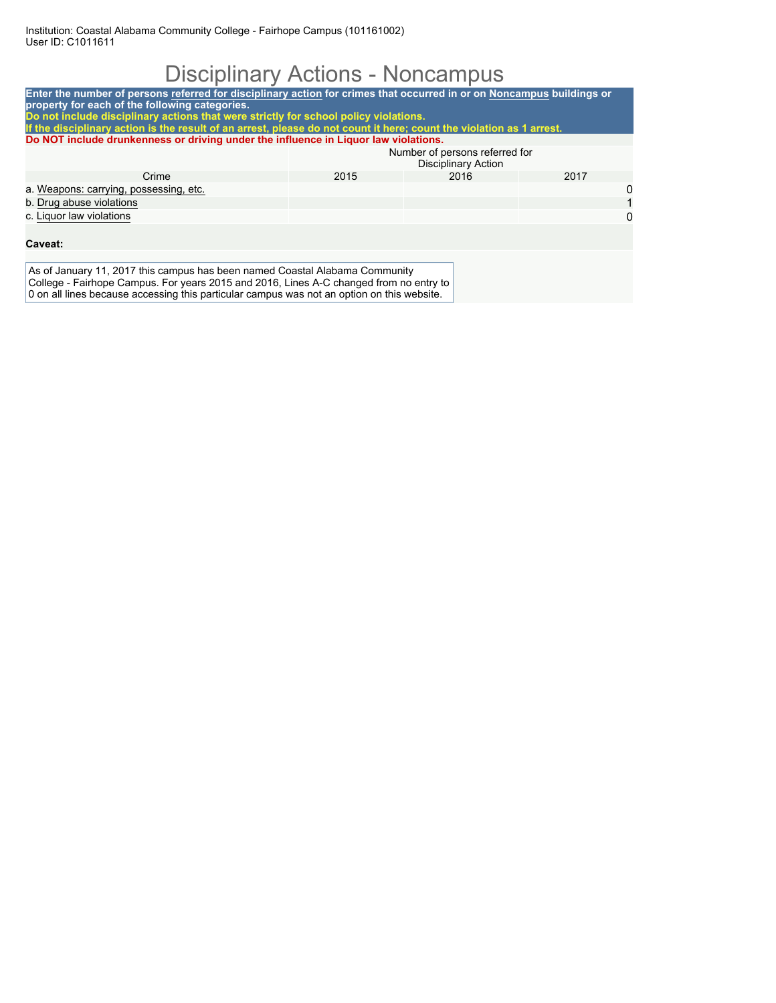# Disciplinary Actions - Noncampus

| Enter the number of persons referred for disciplinary action for crimes that occurred in or on Noncampus buildings or                                                 |                                                                                                                      |                                                       |      |  |  |  |  |
|-----------------------------------------------------------------------------------------------------------------------------------------------------------------------|----------------------------------------------------------------------------------------------------------------------|-------------------------------------------------------|------|--|--|--|--|
| property for each of the following categories.<br>Do not include disciplinary actions that were strictly for school policy violations.                                |                                                                                                                      |                                                       |      |  |  |  |  |
|                                                                                                                                                                       | If the disciplinary action is the result of an arrest, please do not count it here; count the violation as 1 arrest. |                                                       |      |  |  |  |  |
| Do NOT include drunkenness or driving under the influence in Liquor law violations.                                                                                   |                                                                                                                      |                                                       |      |  |  |  |  |
|                                                                                                                                                                       |                                                                                                                      | Number of persons referred for<br>Disciplinary Action |      |  |  |  |  |
| Crime                                                                                                                                                                 | 2015                                                                                                                 | 2016                                                  | 2017 |  |  |  |  |
| a. Weapons: carrying, possessing, etc.                                                                                                                                |                                                                                                                      |                                                       | 0    |  |  |  |  |
| b. Drug abuse violations                                                                                                                                              |                                                                                                                      |                                                       |      |  |  |  |  |
| c. Liguor law violations                                                                                                                                              |                                                                                                                      |                                                       | 0    |  |  |  |  |
|                                                                                                                                                                       |                                                                                                                      |                                                       |      |  |  |  |  |
| Caveat:                                                                                                                                                               |                                                                                                                      |                                                       |      |  |  |  |  |
|                                                                                                                                                                       |                                                                                                                      |                                                       |      |  |  |  |  |
| As of January 11, 2017 this campus has been named Coastal Alabama Community<br>College - Fairhope Campus. For years 2015 and 2016, Lines A-C changed from no entry to |                                                                                                                      |                                                       |      |  |  |  |  |

0 on all lines because accessing this particular campus was not an option on this website.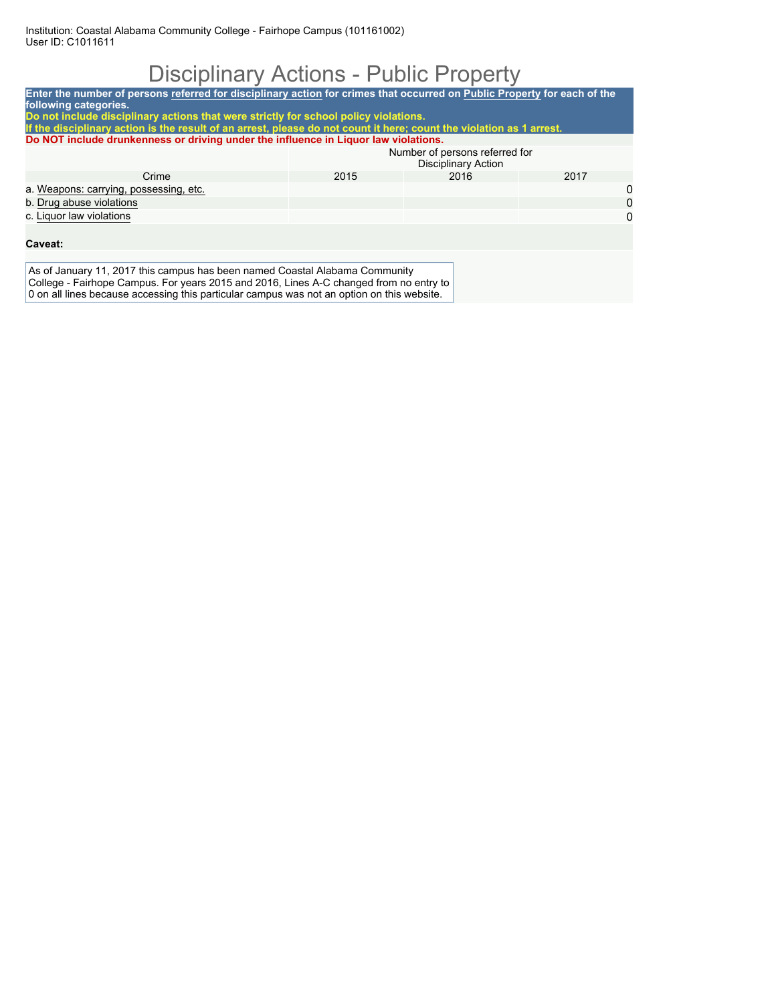## Disciplinary Actions - Public Property

| Enter the number of persons referred for disciplinary action for crimes that occurred on Public Property for each of the                                              |                                                              |      |      |  |  |
|-----------------------------------------------------------------------------------------------------------------------------------------------------------------------|--------------------------------------------------------------|------|------|--|--|
| following categories.                                                                                                                                                 |                                                              |      |      |  |  |
| Do not include disciplinary actions that were strictly for school policy violations.                                                                                  |                                                              |      |      |  |  |
| If the disciplinary action is the result of an arrest, please do not count it here; count the violation as 1 arrest.                                                  |                                                              |      |      |  |  |
| Do NOT include drunkenness or driving under the influence in Liquor law violations.                                                                                   |                                                              |      |      |  |  |
|                                                                                                                                                                       | Number of persons referred for<br><b>Disciplinary Action</b> |      |      |  |  |
| Crime                                                                                                                                                                 | 2015                                                         | 2016 | 2017 |  |  |
| a. Weapons: carrying, possessing, etc.                                                                                                                                |                                                              |      | 0    |  |  |
| b. Drug abuse violations                                                                                                                                              |                                                              |      | 0    |  |  |
| c. Liguor law violations                                                                                                                                              |                                                              |      | 0    |  |  |
|                                                                                                                                                                       |                                                              |      |      |  |  |
| Caveat:                                                                                                                                                               |                                                              |      |      |  |  |
|                                                                                                                                                                       |                                                              |      |      |  |  |
| As of January 11, 2017 this campus has been named Coastal Alabama Community<br>College - Fairhope Campus. For years 2015 and 2016, Lines A-C changed from no entry to |                                                              |      |      |  |  |
| A dia 1411 Bago tenggarang pengantang itu berakhir dan pengarang mengenak pada padang pada tersebut di sebara                                                         |                                                              |      |      |  |  |

0 on all lines because accessing this particular campus was not an option on this website.